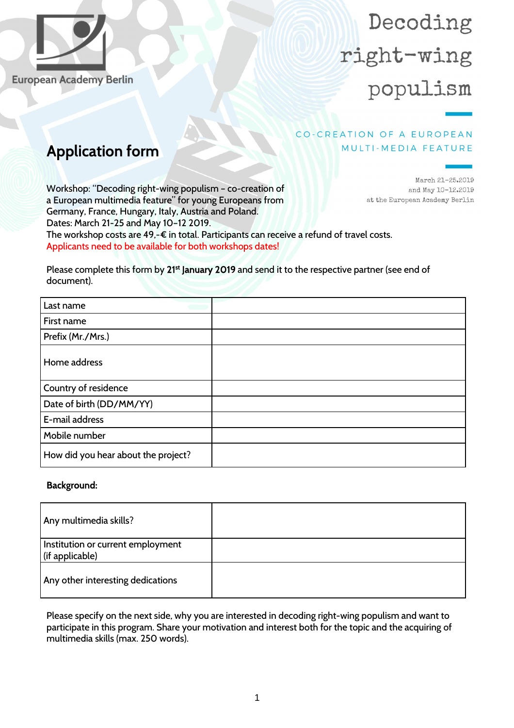

**European Academy Berlin** 

# Decoding right-wing populism

### CO-CREATION OF A EUROPEAN MULTI-MEDIA FEATURE

## Application form

Workshop: "Decoding right-wing populism – co-creation of a European multimedia feature" for young Europeans from Germany, France, Hungary, Italy, Austria and Poland. Dates: March 21-25 and May 10–12 2019. The workshop costs are 49,-€ in total. Participants can receive a refund of travel costs. Applicants need to be available for both workshops dates!

March 21-25.2019 and May 10-12.2019 at the European Academy Berlin

Please complete this form by 21<sup>st</sup> January 2019 and send it to the respective partner (see end of document).

| Last name                           |  |
|-------------------------------------|--|
| First name                          |  |
| Prefix (Mr./Mrs.)                   |  |
| Home address                        |  |
| Country of residence                |  |
| Date of birth (DD/MM/YY)            |  |
| E-mail address                      |  |
| Mobile number                       |  |
| How did you hear about the project? |  |

#### Background:

| Any multimedia skills?                               |  |
|------------------------------------------------------|--|
| Institution or current employment<br>(if applicable) |  |
| Any other interesting dedications                    |  |

Please specify on the next side, why you are interested in decoding right-wing populism and want to participate in this program. Share your motivation and interest both for the topic and the acquiring of multimedia skills (max. 250 words).